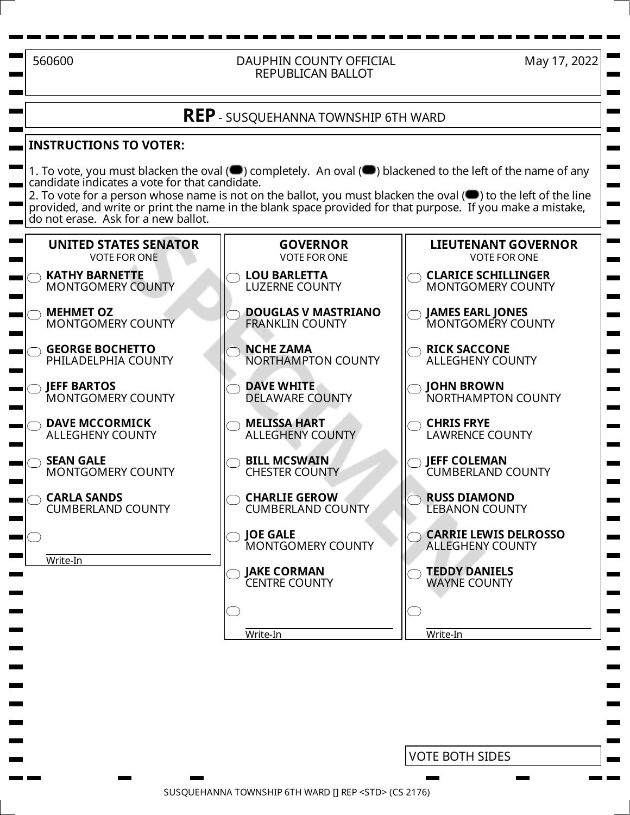## 560600 DAUPHIN COUNTY OFFICIAL REPUBLICAN BALLOT

May 17, 2022

## **REP**- SUSQUEHANNA TOWNSHIP 6TH WARD

## **INSTRUCTIONS TO VOTER:**

1. To vote, you must blacken the oval ( $\bullet$ ) completely. An oval ( $\bullet$ ) blackened to the left of the name of any candidate indicates a vote for that candidate.

2. To vote for a person whose name is not on the ballot, you must blacken the oval  $($ **)** to the left of the line provided, and write or print the name in the blank space provided for that purpose. If you make a mistake, do not erase. Ask for a new ballot.



VOTE BOTH SIDES